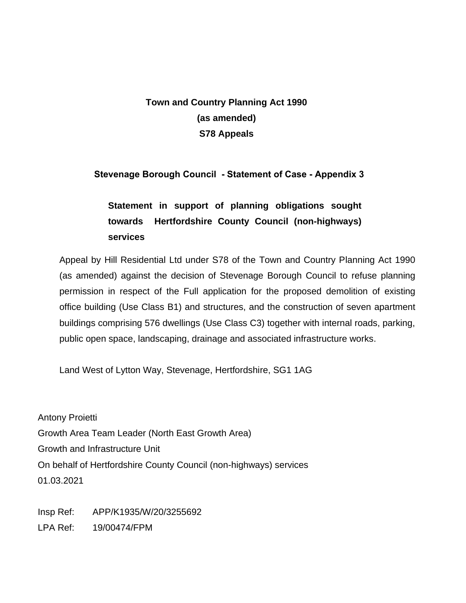# **Town and Country Planning Act 1990 (as amended) S78 Appeals**

# **Stevenage Borough Council - Statement of Case - Appendix 3**

# **Statement in support of planning obligations sought towards Hertfordshire County Council (non-highways) services**

Appeal by Hill Residential Ltd under S78 of the Town and Country Planning Act 1990 (as amended) against the decision of Stevenage Borough Council to refuse planning permission in respect of the Full application for the proposed demolition of existing office building (Use Class B1) and structures, and the construction of seven apartment buildings comprising 576 dwellings (Use Class C3) together with internal roads, parking, public open space, landscaping, drainage and associated infrastructure works.

Land West of Lytton Way, Stevenage, Hertfordshire, SG1 1AG

Antony Proietti Growth Area Team Leader (North East Growth Area) Growth and Infrastructure Unit On behalf of Hertfordshire County Council (non-highways) services 01.03.2021

Insp Ref: APP/K1935/W/20/3255692 LPA Ref: 19/00474/FPM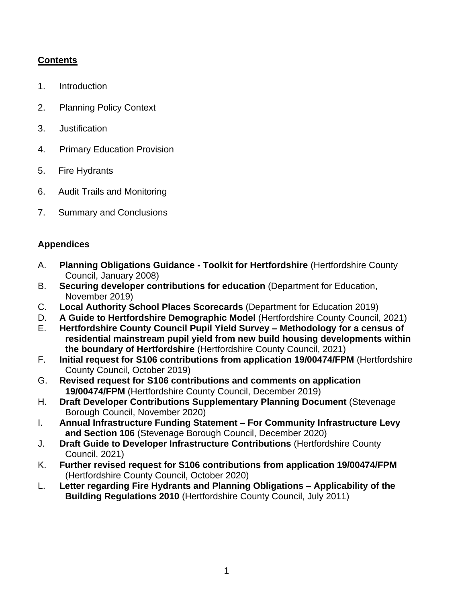# **Contents**

- 1. Introduction
- 2. Planning Policy Context
- 3. Justification
- 4. Primary Education Provision
- 5. Fire Hydrants
- 6. Audit Trails and Monitoring
- 7. Summary and Conclusions

# **Appendices**

- A. **Planning Obligations Guidance - Toolkit for Hertfordshire** (Hertfordshire County Council, January 2008)
- B. **Securing developer contributions for education** (Department for Education, November 2019)
- C. **Local Authority School Places Scorecards** (Department for Education 2019)
- D. **A Guide to Hertfordshire Demographic Model** (Hertfordshire County Council, 2021)
- E. **Hertfordshire County Council Pupil Yield Survey – Methodology for a census of residential mainstream pupil yield from new build housing developments within the boundary of Hertfordshire** (Hertfordshire County Council, 2021)
- F. **Initial request for S106 contributions from application 19/00474/FPM** (Hertfordshire County Council, October 2019)
- G. **Revised request for S106 contributions and comments on application 19/00474/FPM** (Hertfordshire County Council, December 2019)
- H. **Draft Developer Contributions Supplementary Planning Document** (Stevenage Borough Council, November 2020)
- I. **Annual Infrastructure Funding Statement – For Community Infrastructure Levy and Section 106** (Stevenage Borough Council, December 2020)
- J. **Draft Guide to Developer Infrastructure Contributions** (Hertfordshire County Council, 2021)
- K. **Further revised request for S106 contributions from application 19/00474/FPM** (Hertfordshire County Council, October 2020)
- L. **Letter regarding Fire Hydrants and Planning Obligations – Applicability of the Building Regulations 2010** (Hertfordshire County Council, July 2011)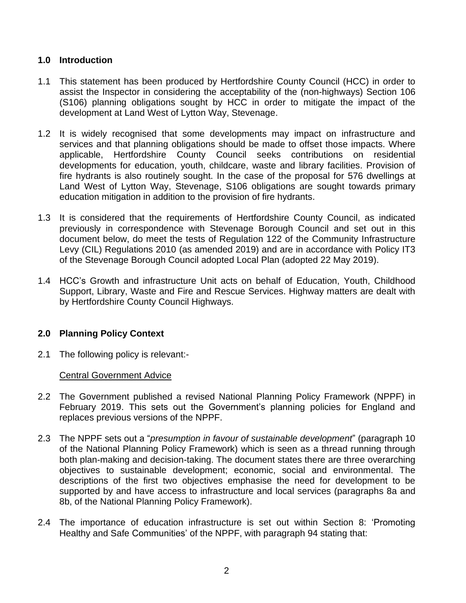### **1.0 Introduction**

- 1.1 This statement has been produced by Hertfordshire County Council (HCC) in order to assist the Inspector in considering the acceptability of the (non-highways) Section 106 (S106) planning obligations sought by HCC in order to mitigate the impact of the development at Land West of Lytton Way, Stevenage.
- 1.2 It is widely recognised that some developments may impact on infrastructure and services and that planning obligations should be made to offset those impacts. Where applicable, Hertfordshire County Council seeks contributions on residential developments for education, youth, childcare, waste and library facilities. Provision of fire hydrants is also routinely sought. In the case of the proposal for 576 dwellings at Land West of Lytton Way, Stevenage, S106 obligations are sought towards primary education mitigation in addition to the provision of fire hydrants.
- 1.3 It is considered that the requirements of Hertfordshire County Council, as indicated previously in correspondence with Stevenage Borough Council and set out in this document below, do meet the tests of Regulation 122 of the Community Infrastructure Levy (CIL) Regulations 2010 (as amended 2019) and are in accordance with Policy IT3 of the Stevenage Borough Council adopted Local Plan (adopted 22 May 2019).
- 1.4 HCC's Growth and infrastructure Unit acts on behalf of Education, Youth, Childhood Support, Library, Waste and Fire and Rescue Services. Highway matters are dealt with by Hertfordshire County Council Highways.

# **2.0 Planning Policy Context**

2.1 The following policy is relevant:-

Central Government Advice

- 2.2 The Government published a revised National Planning Policy Framework (NPPF) in February 2019. This sets out the Government's planning policies for England and replaces previous versions of the NPPF.
- 2.3 The NPPF sets out a "*presumption in favour of sustainable development*" (paragraph 10 of the National Planning Policy Framework) which is seen as a thread running through both plan-making and decision-taking. The document states there are three overarching objectives to sustainable development; economic, social and environmental. The descriptions of the first two objectives emphasise the need for development to be supported by and have access to infrastructure and local services (paragraphs 8a and 8b, of the National Planning Policy Framework).
- 2.4 The importance of education infrastructure is set out within Section 8: 'Promoting Healthy and Safe Communities' of the NPPF, with paragraph 94 stating that: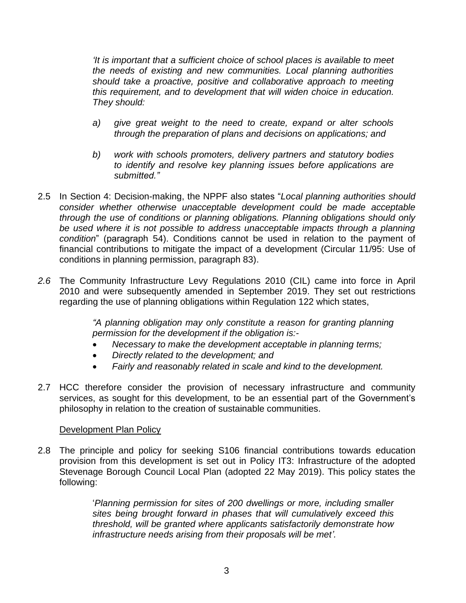*'It is important that a sufficient choice of school places is available to meet the needs of existing and new communities. Local planning authorities should take a proactive, positive and collaborative approach to meeting this requirement, and to development that will widen choice in education. They should:*

- *a) give great weight to the need to create, expand or alter schools through the preparation of plans and decisions on applications; and*
- *b) work with schools promoters, delivery partners and statutory bodies to identify and resolve key planning issues before applications are submitted."*
- 2.5 In Section 4: Decision-making, the NPPF also states "*Local planning authorities should consider whether otherwise unacceptable development could be made acceptable through the use of conditions or planning obligations. Planning obligations should only be used where it is not possible to address unacceptable impacts through a planning condition*" (paragraph 54). Conditions cannot be used in relation to the payment of financial contributions to mitigate the impact of a development (Circular 11/95: Use of conditions in planning permission, paragraph 83).
- *2.6* The Community Infrastructure Levy Regulations 2010 (CIL) came into force in April 2010 and were subsequently amended in September 2019. They set out restrictions regarding the use of planning obligations within Regulation 122 which states,

*"A planning obligation may only constitute a reason for granting planning permission for the development if the obligation is:-*

- *Necessary to make the development acceptable in planning terms;*
- *Directly related to the development; and*
- *Fairly and reasonably related in scale and kind to the development.*
- 2.7 HCC therefore consider the provision of necessary infrastructure and community services, as sought for this development, to be an essential part of the Government's philosophy in relation to the creation of sustainable communities.

#### Development Plan Policy

2.8 The principle and policy for seeking S106 financial contributions towards education provision from this development is set out in Policy IT3: Infrastructure of the adopted Stevenage Borough Council Local Plan (adopted 22 May 2019). This policy states the following:

> '*Planning permission for sites of 200 dwellings or more, including smaller sites being brought forward in phases that will cumulatively exceed this threshold, will be granted where applicants satisfactorily demonstrate how infrastructure needs arising from their proposals will be met'.*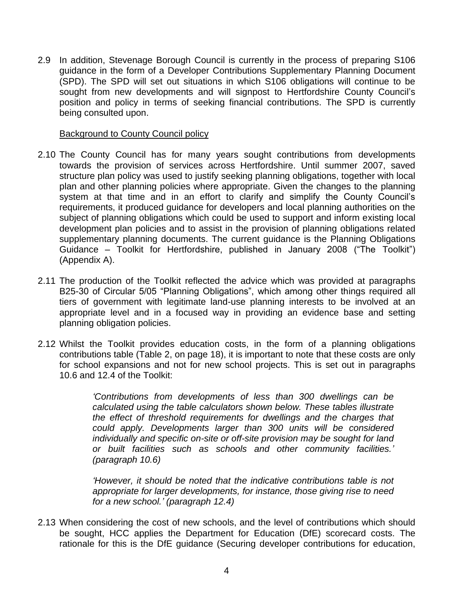2.9 In addition, Stevenage Borough Council is currently in the process of preparing S106 guidance in the form of a Developer Contributions Supplementary Planning Document (SPD). The SPD will set out situations in which S106 obligations will continue to be sought from new developments and will signpost to Hertfordshire County Council's position and policy in terms of seeking financial contributions. The SPD is currently being consulted upon.

#### Background to County Council policy

- 2.10 The County Council has for many years sought contributions from developments towards the provision of services across Hertfordshire. Until summer 2007, saved structure plan policy was used to justify seeking planning obligations, together with local plan and other planning policies where appropriate. Given the changes to the planning system at that time and in an effort to clarify and simplify the County Council's requirements, it produced guidance for developers and local planning authorities on the subject of planning obligations which could be used to support and inform existing local development plan policies and to assist in the provision of planning obligations related supplementary planning documents. The current guidance is the Planning Obligations Guidance – Toolkit for Hertfordshire, published in January 2008 ("The Toolkit") (Appendix A).
- 2.11 The production of the Toolkit reflected the advice which was provided at paragraphs B25-30 of Circular 5/05 "Planning Obligations", which among other things required all tiers of government with legitimate land-use planning interests to be involved at an appropriate level and in a focused way in providing an evidence base and setting planning obligation policies.
- 2.12 Whilst the Toolkit provides education costs, in the form of a planning obligations contributions table (Table 2, on page 18), it is important to note that these costs are only for school expansions and not for new school projects. This is set out in paragraphs 10.6 and 12.4 of the Toolkit:

*'Contributions from developments of less than 300 dwellings can be calculated using the table calculators shown below. These tables illustrate the effect of threshold requirements for dwellings and the charges that could apply. Developments larger than 300 units will be considered individually and specific on-site or off-site provision may be sought for land or built facilities such as schools and other community facilities.' (paragraph 10.6)*

*'However, it should be noted that the indicative contributions table is not appropriate for larger developments, for instance, those giving rise to need for a new school.' (paragraph 12.4)*

2.13 When considering the cost of new schools, and the level of contributions which should be sought, HCC applies the Department for Education (DfE) scorecard costs. The rationale for this is the DfE guidance (Securing developer contributions for education,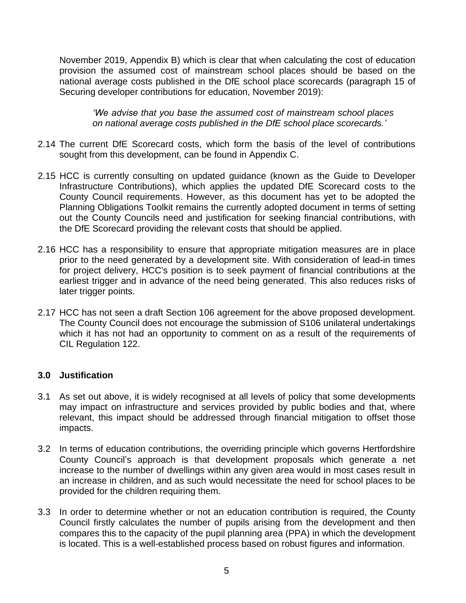November 2019, Appendix B) which is clear that when calculating the cost of education provision the assumed cost of mainstream school places should be based on the national average costs published in the DfE school place scorecards (paragraph 15 of Securing developer contributions for education, November 2019):

*'We advise that you base the assumed cost of mainstream school places on national average costs published in the DfE school place scorecards.'*

- 2.14 The current DfE Scorecard costs, which form the basis of the level of contributions sought from this development, can be found in Appendix C.
- 2.15 HCC is currently consulting on updated guidance (known as the Guide to Developer Infrastructure Contributions), which applies the updated DfE Scorecard costs to the County Council requirements. However, as this document has yet to be adopted the Planning Obligations Toolkit remains the currently adopted document in terms of setting out the County Councils need and justification for seeking financial contributions, with the DfE Scorecard providing the relevant costs that should be applied.
- 2.16 HCC has a responsibility to ensure that appropriate mitigation measures are in place prior to the need generated by a development site. With consideration of lead-in times for project delivery, HCC's position is to seek payment of financial contributions at the earliest trigger and in advance of the need being generated. This also reduces risks of later trigger points.
- 2.17 HCC has not seen a draft Section 106 agreement for the above proposed development. The County Council does not encourage the submission of S106 unilateral undertakings which it has not had an opportunity to comment on as a result of the requirements of CIL Regulation 122.

#### **3.0 Justification**

- 3.1 As set out above, it is widely recognised at all levels of policy that some developments may impact on infrastructure and services provided by public bodies and that, where relevant, this impact should be addressed through financial mitigation to offset those impacts.
- 3.2 In terms of education contributions, the overriding principle which governs Hertfordshire County Council's approach is that development proposals which generate a net increase to the number of dwellings within any given area would in most cases result in an increase in children, and as such would necessitate the need for school places to be provided for the children requiring them.
- 3.3 In order to determine whether or not an education contribution is required, the County Council firstly calculates the number of pupils arising from the development and then compares this to the capacity of the pupil planning area (PPA) in which the development is located. This is a well-established process based on robust figures and information.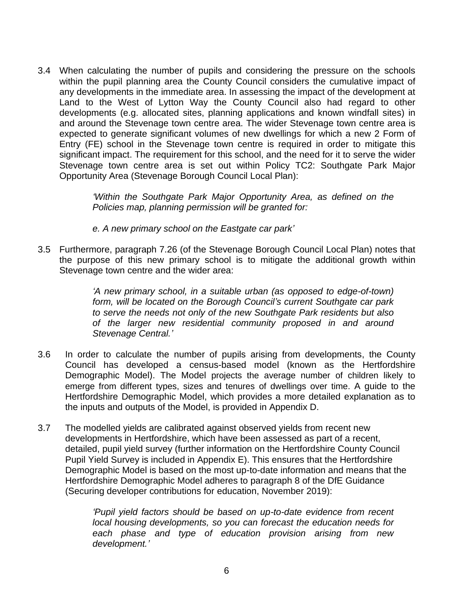3.4 When calculating the number of pupils and considering the pressure on the schools within the pupil planning area the County Council considers the cumulative impact of any developments in the immediate area. In assessing the impact of the development at Land to the West of Lytton Way the County Council also had regard to other developments (e.g. allocated sites, planning applications and known windfall sites) in and around the Stevenage town centre area. The wider Stevenage town centre area is expected to generate significant volumes of new dwellings for which a new 2 Form of Entry (FE) school in the Stevenage town centre is required in order to mitigate this significant impact. The requirement for this school, and the need for it to serve the wider Stevenage town centre area is set out within Policy TC2: Southgate Park Major Opportunity Area (Stevenage Borough Council Local Plan):

> *'Within the Southgate Park Major Opportunity Area, as defined on the Policies map, planning permission will be granted for:*

*e. A new primary school on the Eastgate car park'*

3.5 Furthermore, paragraph 7.26 (of the Stevenage Borough Council Local Plan) notes that the purpose of this new primary school is to mitigate the additional growth within Stevenage town centre and the wider area:

> *'A new primary school, in a suitable urban (as opposed to edge-of-town) form, will be located on the Borough Council's current Southgate car park to serve the needs not only of the new Southgate Park residents but also of the larger new residential community proposed in and around Stevenage Central.'*

- 3.6 In order to calculate the number of pupils arising from developments, the County Council has developed a census-based model (known as the Hertfordshire Demographic Model). The Model projects the average number of children likely to emerge from different types, sizes and tenures of dwellings over time. A guide to the Hertfordshire Demographic Model, which provides a more detailed explanation as to the inputs and outputs of the Model, is provided in Appendix D.
- 3.7 The modelled yields are calibrated against observed yields from recent new developments in Hertfordshire, which have been assessed as part of a recent, detailed, pupil yield survey (further information on the Hertfordshire County Council Pupil Yield Survey is included in Appendix E). This ensures that the Hertfordshire Demographic Model is based on the most up-to-date information and means that the Hertfordshire Demographic Model adheres to paragraph 8 of the DfE Guidance (Securing developer contributions for education, November 2019):

*'Pupil yield factors should be based on up-to-date evidence from recent local housing developments, so you can forecast the education needs for each phase and type of education provision arising from new development.'*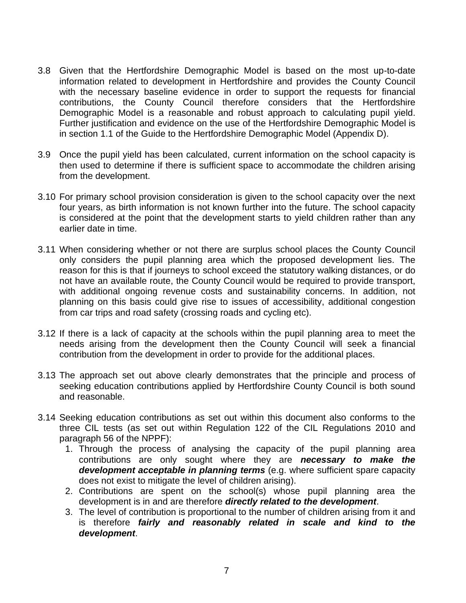- 3.8 Given that the Hertfordshire Demographic Model is based on the most up-to-date information related to development in Hertfordshire and provides the County Council with the necessary baseline evidence in order to support the requests for financial contributions, the County Council therefore considers that the Hertfordshire Demographic Model is a reasonable and robust approach to calculating pupil yield. Further justification and evidence on the use of the Hertfordshire Demographic Model is in section 1.1 of the Guide to the Hertfordshire Demographic Model (Appendix D).
- 3.9 Once the pupil yield has been calculated, current information on the school capacity is then used to determine if there is sufficient space to accommodate the children arising from the development.
- 3.10 For primary school provision consideration is given to the school capacity over the next four years, as birth information is not known further into the future. The school capacity is considered at the point that the development starts to yield children rather than any earlier date in time.
- 3.11 When considering whether or not there are surplus school places the County Council only considers the pupil planning area which the proposed development lies. The reason for this is that if journeys to school exceed the statutory walking distances, or do not have an available route, the County Council would be required to provide transport, with additional ongoing revenue costs and sustainability concerns. In addition, not planning on this basis could give rise to issues of accessibility, additional congestion from car trips and road safety (crossing roads and cycling etc).
- 3.12 If there is a lack of capacity at the schools within the pupil planning area to meet the needs arising from the development then the County Council will seek a financial contribution from the development in order to provide for the additional places.
- 3.13 The approach set out above clearly demonstrates that the principle and process of seeking education contributions applied by Hertfordshire County Council is both sound and reasonable.
- 3.14 Seeking education contributions as set out within this document also conforms to the three CIL tests (as set out within Regulation 122 of the CIL Regulations 2010 and paragraph 56 of the NPPF):
	- 1. Through the process of analysing the capacity of the pupil planning area contributions are only sought where they are *necessary to make the development acceptable in planning terms* (e.g. where sufficient spare capacity does not exist to mitigate the level of children arising).
	- 2. Contributions are spent on the school(s) whose pupil planning area the development is in and are therefore *directly related to the development*.
	- 3. The level of contribution is proportional to the number of children arising from it and is therefore *fairly and reasonably related in scale and kind to the development*.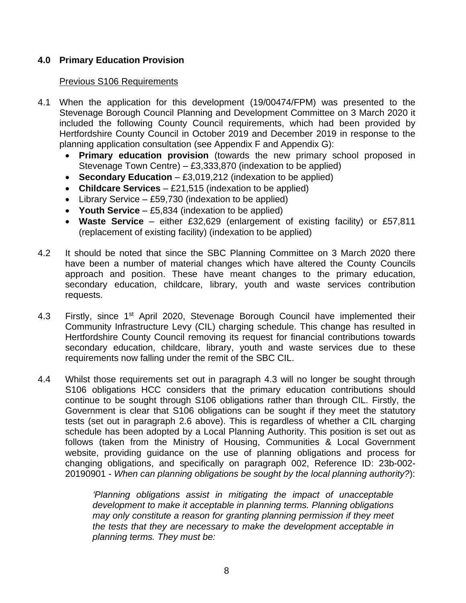### **4.0 Primary Education Provision**

#### Previous S106 Requirements

- 4.1 When the application for this development (19/00474/FPM) was presented to the Stevenage Borough Council Planning and Development Committee on 3 March 2020 it included the following County Council requirements, which had been provided by Hertfordshire County Council in October 2019 and December 2019 in response to the planning application consultation (see Appendix F and Appendix G):
	- **Primary education provision** (towards the new primary school proposed in Stevenage Town Centre) – £3,333,870 (indexation to be applied)
	- **Secondary Education** £3,019,212 (indexation to be applied)
	- **Childcare Services** £21,515 (indexation to be applied)
	- Library Service £59,730 (indexation to be applied)
	- **Youth Service** £5,834 (indexation to be applied)
	- **Waste Service** either £32,629 (enlargement of existing facility) or £57,811 (replacement of existing facility) (indexation to be applied)
- 4.2 It should be noted that since the SBC Planning Committee on 3 March 2020 there have been a number of material changes which have altered the County Councils approach and position. These have meant changes to the primary education, secondary education, childcare, library, youth and waste services contribution requests.
- 4.3 Firstly, since 1<sup>st</sup> April 2020, Stevenage Borough Council have implemented their Community Infrastructure Levy (CIL) charging schedule. This change has resulted in Hertfordshire County Council removing its request for financial contributions towards secondary education, childcare, library, youth and waste services due to these requirements now falling under the remit of the SBC CIL.
- 4.4 Whilst those requirements set out in paragraph 4.3 will no longer be sought through S106 obligations HCC considers that the primary education contributions should continue to be sought through S106 obligations rather than through CIL. Firstly, the Government is clear that S106 obligations can be sought if they meet the statutory tests (set out in paragraph 2.6 above). This is regardless of whether a CIL charging schedule has been adopted by a Local Planning Authority. This position is set out as follows (taken from the Ministry of Housing, Communities & Local Government website, providing guidance on the use of planning obligations and process for changing obligations, and specifically on paragraph 002, Reference ID: 23b-002- 20190901 - *When can planning obligations be sought by the local planning authority?*):

*'Planning obligations assist in mitigating the impact of unacceptable development to make it acceptable in planning terms. Planning obligations may only constitute a reason for granting planning permission if they meet the tests that they are necessary to make the development acceptable in planning terms. They must be:*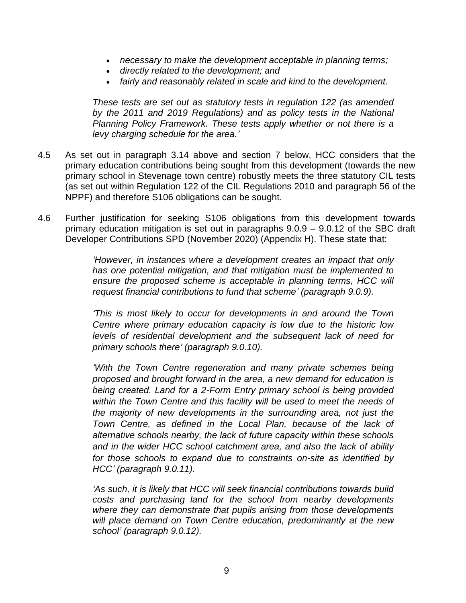- *necessary to make the development acceptable in planning terms;*
- *directly related to the development; and*
- *fairly and reasonably related in scale and kind to the development.*

*These tests are set out as statutory tests in regulation 122 (as amended by the 2011 and 2019 Regulations) and as policy tests in the National Planning Policy Framework. These tests apply whether or not there is a levy charging schedule for the area.'*

- 4.5 As set out in paragraph 3.14 above and section 7 below, HCC considers that the primary education contributions being sought from this development (towards the new primary school in Stevenage town centre) robustly meets the three statutory CIL tests (as set out within Regulation 122 of the CIL Regulations 2010 and paragraph 56 of the NPPF) and therefore S106 obligations can be sought.
- 4.6 Further justification for seeking S106 obligations from this development towards primary education mitigation is set out in paragraphs 9.0.9 – 9.0.12 of the SBC draft Developer Contributions SPD (November 2020) (Appendix H). These state that:

*'However, in instances where a development creates an impact that only has one potential mitigation, and that mitigation must be implemented to ensure the proposed scheme is acceptable in planning terms, HCC will request financial contributions to fund that scheme' (paragraph 9.0.9).*

*'This is most likely to occur for developments in and around the Town Centre where primary education capacity is low due to the historic low levels of residential development and the subsequent lack of need for primary schools there' (paragraph 9.0.10).* 

*'With the Town Centre regeneration and many private schemes being proposed and brought forward in the area, a new demand for education is being created. Land for a 2-Form Entry primary school is being provided within the Town Centre and this facility will be used to meet the needs of the majority of new developments in the surrounding area, not just the Town Centre, as defined in the Local Plan, because of the lack of alternative schools nearby, the lack of future capacity within these schools and in the wider HCC school catchment area, and also the lack of ability for those schools to expand due to constraints on-site as identified by HCC' (paragraph 9.0.11).* 

*'As such, it is likely that HCC will seek financial contributions towards build costs and purchasing land for the school from nearby developments where they can demonstrate that pupils arising from those developments will place demand on Town Centre education, predominantly at the new school' (paragraph 9.0.12).*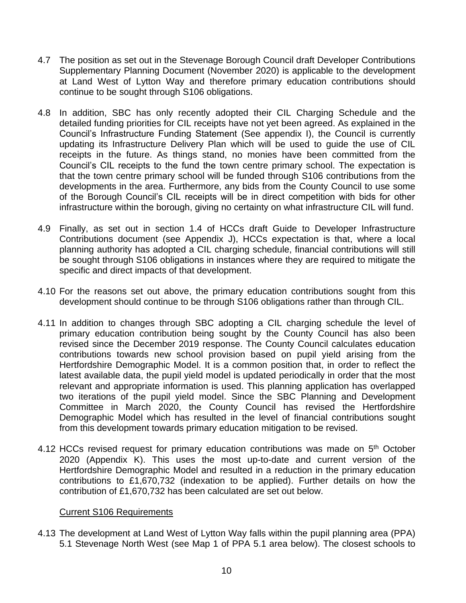- 4.7 The position as set out in the Stevenage Borough Council draft Developer Contributions Supplementary Planning Document (November 2020) is applicable to the development at Land West of Lytton Way and therefore primary education contributions should continue to be sought through S106 obligations.
- 4.8 In addition, SBC has only recently adopted their CIL Charging Schedule and the detailed funding priorities for CIL receipts have not yet been agreed. As explained in the Council's Infrastructure Funding Statement (See appendix I), the Council is currently updating its Infrastructure Delivery Plan which will be used to guide the use of CIL receipts in the future. As things stand, no monies have been committed from the Council's CIL receipts to the fund the town centre primary school. The expectation is that the town centre primary school will be funded through S106 contributions from the developments in the area. Furthermore, any bids from the County Council to use some of the Borough Council's CIL receipts will be in direct competition with bids for other infrastructure within the borough, giving no certainty on what infrastructure CIL will fund.
- 4.9 Finally, as set out in section 1.4 of HCCs draft Guide to Developer Infrastructure Contributions document (see Appendix J), HCCs expectation is that, where a local planning authority has adopted a CIL charging schedule, financial contributions will still be sought through S106 obligations in instances where they are required to mitigate the specific and direct impacts of that development.
- 4.10 For the reasons set out above, the primary education contributions sought from this development should continue to be through S106 obligations rather than through CIL.
- 4.11 In addition to changes through SBC adopting a CIL charging schedule the level of primary education contribution being sought by the County Council has also been revised since the December 2019 response. The County Council calculates education contributions towards new school provision based on pupil yield arising from the Hertfordshire Demographic Model. It is a common position that, in order to reflect the latest available data, the pupil yield model is updated periodically in order that the most relevant and appropriate information is used. This planning application has overlapped two iterations of the pupil yield model. Since the SBC Planning and Development Committee in March 2020, the County Council has revised the Hertfordshire Demographic Model which has resulted in the level of financial contributions sought from this development towards primary education mitigation to be revised.
- 4.12 HCCs revised request for primary education contributions was made on 5<sup>th</sup> October 2020 (Appendix K). This uses the most up-to-date and current version of the Hertfordshire Demographic Model and resulted in a reduction in the primary education contributions to £1,670,732 (indexation to be applied). Further details on how the contribution of £1,670,732 has been calculated are set out below.

#### Current S106 Requirements

4.13 The development at Land West of Lytton Way falls within the pupil planning area (PPA) 5.1 Stevenage North West (see Map 1 of PPA 5.1 area below). The closest schools to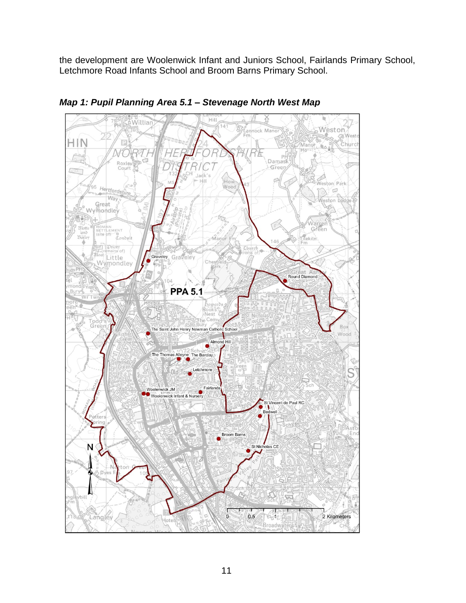the development are Woolenwick Infant and Juniors School, Fairlands Primary School, Letchmore Road Infants School and Broom Barns Primary School.



*Map 1: Pupil Planning Area 5.1 – Stevenage North West Map*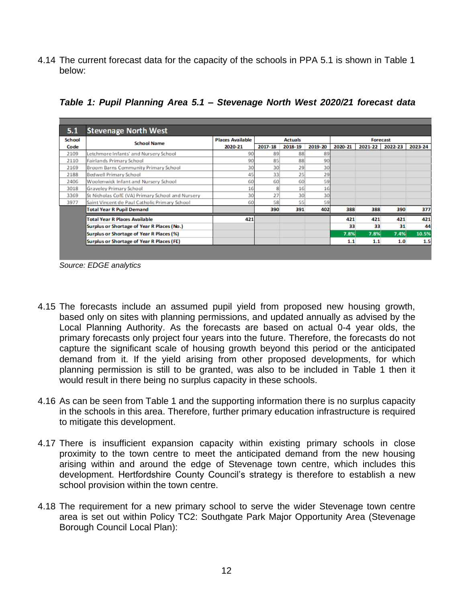4.14 The current forecast data for the capacity of the schools in PPA 5.1 is shown in Table 1 below:

| 5.1    | <b>Stevenage North West</b>                      |                         |                |         |         |                 |         |         |         |
|--------|--------------------------------------------------|-------------------------|----------------|---------|---------|-----------------|---------|---------|---------|
| School | <b>School Name</b>                               | <b>Places Available</b> | <b>Actuals</b> |         |         | <b>Forecast</b> |         |         |         |
| Code   |                                                  | 2020-21                 | 2017-18        | 2018-19 | 2019-20 | 2020-21         | 2021-22 | 2022-23 | 2023-24 |
| 2109   | Letchmore Infants' and Nursery School            | 90                      | 89             | 88      | 89      |                 |         |         |         |
| 2110   | Fairlands Primary School                         | 90                      | 85             | 88      | 90      |                 |         |         |         |
| 2169   | Broom Barns Community Primary School             | 30                      | 30             | 29      | 30      |                 |         |         |         |
| 2188   | Bedwell Primary School                           | 45                      | 33             | 25      | 29      |                 |         |         |         |
| 2406   | Woolenwick Infant and Nursery School             | 60                      | 60             | 60      | 59      |                 |         |         |         |
| 3018   | Graveley Primary School                          | 16                      |                | 16      | 16      |                 |         |         |         |
| 3369   | St Nicholas CofE (VA) Primary School and Nursery | 30                      | 27             | 30      | 30      |                 |         |         |         |
| 3977   | Saint Vincent de Paul Catholic Primary School    | 60                      | 58             | 55      | 59      |                 |         |         |         |
|        | <b>Total Year R Pupil Demand</b>                 |                         | 390            | 391     | 402     | 388             | 388     | 390     | 377     |
|        | <b>Total Year R Places Available</b>             | 421                     |                |         |         | 421             | 421     | 421     | 421     |
|        | Surplus or Shortage of Year R Places (No.)       |                         |                |         |         | 33              | 33      | 31      | 44      |
|        | Surplus or Shortage of Year R Places (%)         |                         |                |         |         | 7.8%            | 7.8%    | 7.4%    | 10.5%   |
|        | <b>Surplus or Shortage of Year R Places (FE)</b> |                         |                |         |         | 1.1             | 1.1     | 1.0     | 1.5     |
|        |                                                  |                         |                |         |         |                 |         |         |         |

*Table 1: Pupil Planning Area 5.1 – Stevenage North West 2020/21 forecast data*

- 4.15 The forecasts include an assumed pupil yield from proposed new housing growth, based only on sites with planning permissions, and updated annually as advised by the Local Planning Authority. As the forecasts are based on actual 0-4 year olds, the primary forecasts only project four years into the future. Therefore, the forecasts do not capture the significant scale of housing growth beyond this period or the anticipated demand from it. If the yield arising from other proposed developments, for which planning permission is still to be granted, was also to be included in Table 1 then it would result in there being no surplus capacity in these schools.
- 4.16 As can be seen from Table 1 and the supporting information there is no surplus capacity in the schools in this area. Therefore, further primary education infrastructure is required to mitigate this development.
- 4.17 There is insufficient expansion capacity within existing primary schools in close proximity to the town centre to meet the anticipated demand from the new housing arising within and around the edge of Stevenage town centre, which includes this development. Hertfordshire County Council's strategy is therefore to establish a new school provision within the town centre.
- 4.18 The requirement for a new primary school to serve the wider Stevenage town centre area is set out within Policy TC2: Southgate Park Major Opportunity Area (Stevenage Borough Council Local Plan):

*Source: EDGE analytics*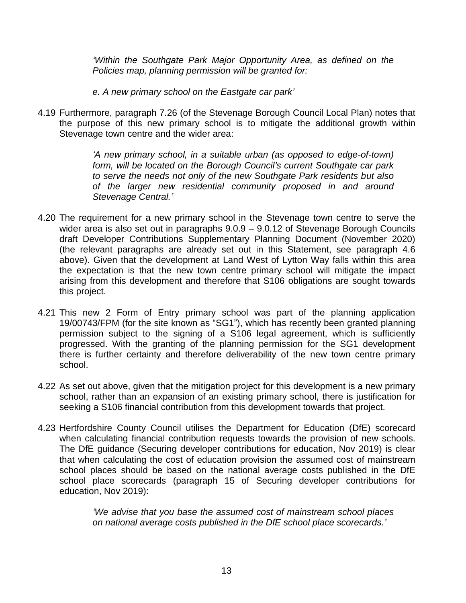*'Within the Southgate Park Major Opportunity Area, as defined on the Policies map, planning permission will be granted for:*

- *e. A new primary school on the Eastgate car park'*
- 4.19 Furthermore, paragraph 7.26 (of the Stevenage Borough Council Local Plan) notes that the purpose of this new primary school is to mitigate the additional growth within Stevenage town centre and the wider area:

*'A new primary school, in a suitable urban (as opposed to edge-of-town) form, will be located on the Borough Council's current Southgate car park to serve the needs not only of the new Southgate Park residents but also of the larger new residential community proposed in and around Stevenage Central.'*

- 4.20 The requirement for a new primary school in the Stevenage town centre to serve the wider area is also set out in paragraphs 9.0.9 – 9.0.12 of Stevenage Borough Councils draft Developer Contributions Supplementary Planning Document (November 2020) (the relevant paragraphs are already set out in this Statement, see paragraph 4.6 above). Given that the development at Land West of Lytton Way falls within this area the expectation is that the new town centre primary school will mitigate the impact arising from this development and therefore that S106 obligations are sought towards this project.
- 4.21 This new 2 Form of Entry primary school was part of the planning application 19/00743/FPM (for the site known as "SG1"), which has recently been granted planning permission subject to the signing of a S106 legal agreement, which is sufficiently progressed. With the granting of the planning permission for the SG1 development there is further certainty and therefore deliverability of the new town centre primary school.
- 4.22 As set out above, given that the mitigation project for this development is a new primary school, rather than an expansion of an existing primary school, there is justification for seeking a S106 financial contribution from this development towards that project.
- 4.23 Hertfordshire County Council utilises the Department for Education (DfE) scorecard when calculating financial contribution requests towards the provision of new schools. The DfE guidance (Securing developer contributions for education, Nov 2019) is clear that when calculating the cost of education provision the assumed cost of mainstream school places should be based on the national average costs published in the DfE school place scorecards (paragraph 15 of Securing developer contributions for education, Nov 2019):

*'We advise that you base the assumed cost of mainstream school places on national average costs published in the DfE school place scorecards.'*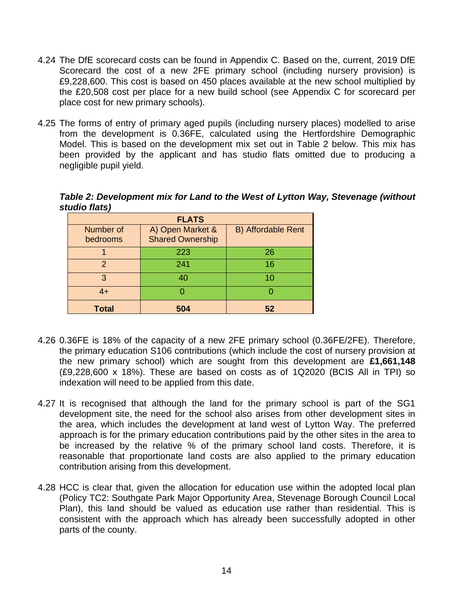- 4.24 The DfE scorecard costs can be found in Appendix C. Based on the, current, 2019 DfE Scorecard the cost of a new 2FE primary school (including nursery provision) is £9,228,600. This cost is based on 450 places available at the new school multiplied by the £20,508 cost per place for a new build school (see Appendix C for scorecard per place cost for new primary schools).
- 4.25 The forms of entry of primary aged pupils (including nursery places) modelled to arise from the development is 0.36FE, calculated using the Hertfordshire Demographic Model. This is based on the development mix set out in Table 2 below. This mix has been provided by the applicant and has studio flats omitted due to producing a negligible pupil yield.

| <b>FLATS</b>          |                                             |                           |  |  |  |  |  |
|-----------------------|---------------------------------------------|---------------------------|--|--|--|--|--|
| Number of<br>bedrooms | A) Open Market &<br><b>Shared Ownership</b> | <b>B) Affordable Rent</b> |  |  |  |  |  |
|                       | 223                                         | 26                        |  |  |  |  |  |
| $\mathcal{P}$         | 241                                         | 16                        |  |  |  |  |  |
| 3                     | 40                                          | 10                        |  |  |  |  |  |
| $4+$                  |                                             |                           |  |  |  |  |  |
| <b>Total</b>          | 504                                         | 52                        |  |  |  |  |  |

*Table 2: Development mix for Land to the West of Lytton Way, Stevenage (without studio flats)*

- 4.26 0.36FE is 18% of the capacity of a new 2FE primary school (0.36FE/2FE). Therefore, the primary education S106 contributions (which include the cost of nursery provision at the new primary school) which are sought from this development are **£1,661,148** (£9,228,600 x 18%). These are based on costs as of 1Q2020 (BCIS All in TPI) so indexation will need to be applied from this date.
- 4.27 It is recognised that although the land for the primary school is part of the SG1 development site, the need for the school also arises from other development sites in the area, which includes the development at land west of Lytton Way. The preferred approach is for the primary education contributions paid by the other sites in the area to be increased by the relative % of the primary school land costs. Therefore, it is reasonable that proportionate land costs are also applied to the primary education contribution arising from this development.
- 4.28 HCC is clear that, given the allocation for education use within the adopted local plan (Policy TC2: Southgate Park Major Opportunity Area, Stevenage Borough Council Local Plan), this land should be valued as education use rather than residential. This is consistent with the approach which has already been successfully adopted in other parts of the county.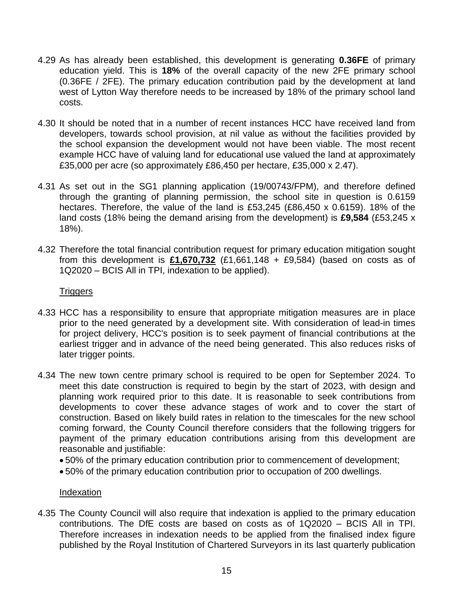- 4.29 As has already been established, this development is generating **0.36FE** of primary education yield. This is **18%** of the overall capacity of the new 2FE primary school (0.36FE / 2FE). The primary education contribution paid by the development at land west of Lytton Way therefore needs to be increased by 18% of the primary school land costs.
- 4.30 It should be noted that in a number of recent instances HCC have received land from developers, towards school provision, at nil value as without the facilities provided by the school expansion the development would not have been viable. The most recent example HCC have of valuing land for educational use valued the land at approximately £35,000 per acre (so approximately £86,450 per hectare, £35,000 x 2.47).
- 4.31 As set out in the SG1 planning application (19/00743/FPM), and therefore defined through the granting of planning permission, the school site in question is 0.6159 hectares. Therefore, the value of the land is £53,245 (£86,450 x 0.6159). 18% of the land costs (18% being the demand arising from the development) is **£9,584** (£53,245 x 18%).
- 4.32 Therefore the total financial contribution request for primary education mitigation sought from this development is **£1,670,732** (£1,661,148 + £9,584) (based on costs as of 1Q2020 – BCIS All in TPI, indexation to be applied).

# **Triggers**

- 4.33 HCC has a responsibility to ensure that appropriate mitigation measures are in place prior to the need generated by a development site. With consideration of lead-in times for project delivery, HCC's position is to seek payment of financial contributions at the earliest trigger and in advance of the need being generated. This also reduces risks of later trigger points.
- 4.34 The new town centre primary school is required to be open for September 2024. To meet this date construction is required to begin by the start of 2023, with design and planning work required prior to this date. It is reasonable to seek contributions from developments to cover these advance stages of work and to cover the start of construction. Based on likely build rates in relation to the timescales for the new school coming forward, the County Council therefore considers that the following triggers for payment of the primary education contributions arising from this development are reasonable and justifiable:
	- 50% of the primary education contribution prior to commencement of development;
	- 50% of the primary education contribution prior to occupation of 200 dwellings.

#### **Indexation**

4.35 The County Council will also require that indexation is applied to the primary education contributions. The DfE costs are based on costs as of 1Q2020 – BCIS All in TPI. Therefore increases in indexation needs to be applied from the finalised index figure published by the Royal Institution of Chartered Surveyors in its last quarterly publication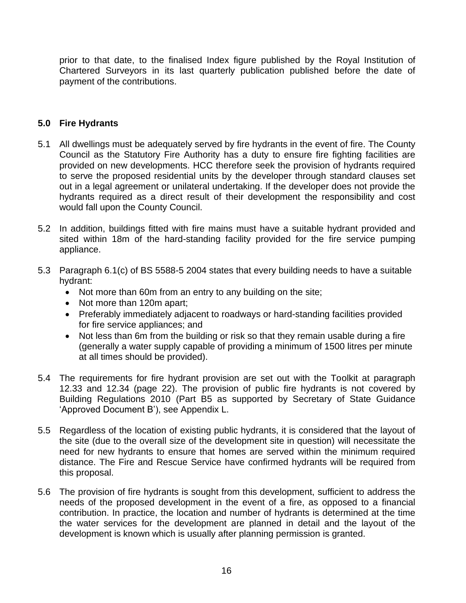prior to that date, to the finalised Index figure published by the Royal Institution of Chartered Surveyors in its last quarterly publication published before the date of payment of the contributions.

## **5.0 Fire Hydrants**

- 5.1 All dwellings must be adequately served by fire hydrants in the event of fire. The County Council as the Statutory Fire Authority has a duty to ensure fire fighting facilities are provided on new developments. HCC therefore seek the provision of hydrants required to serve the proposed residential units by the developer through standard clauses set out in a legal agreement or unilateral undertaking. If the developer does not provide the hydrants required as a direct result of their development the responsibility and cost would fall upon the County Council.
- 5.2 In addition, buildings fitted with fire mains must have a suitable hydrant provided and sited within 18m of the hard-standing facility provided for the fire service pumping appliance.
- 5.3 Paragraph 6.1(c) of BS 5588-5 2004 states that every building needs to have a suitable hydrant:
	- Not more than 60m from an entry to any building on the site;
	- Not more than 120m apart;
	- Preferably immediately adjacent to roadways or hard-standing facilities provided for fire service appliances; and
	- Not less than 6m from the building or risk so that they remain usable during a fire (generally a water supply capable of providing a minimum of 1500 litres per minute at all times should be provided).
- 5.4 The requirements for fire hydrant provision are set out with the Toolkit at paragraph 12.33 and 12.34 (page 22). The provision of public fire hydrants is not covered by Building Regulations 2010 (Part B5 as supported by Secretary of State Guidance 'Approved Document B'), see Appendix L.
- 5.5 Regardless of the location of existing public hydrants, it is considered that the layout of the site (due to the overall size of the development site in question) will necessitate the need for new hydrants to ensure that homes are served within the minimum required distance. The Fire and Rescue Service have confirmed hydrants will be required from this proposal.
- 5.6 The provision of fire hydrants is sought from this development, sufficient to address the needs of the proposed development in the event of a fire, as opposed to a financial contribution. In practice, the location and number of hydrants is determined at the time the water services for the development are planned in detail and the layout of the development is known which is usually after planning permission is granted.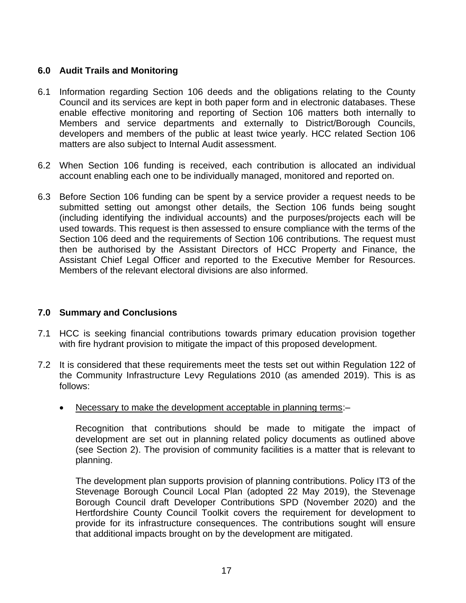# **6.0 Audit Trails and Monitoring**

- 6.1 Information regarding Section 106 deeds and the obligations relating to the County Council and its services are kept in both paper form and in electronic databases. These enable effective monitoring and reporting of Section 106 matters both internally to Members and service departments and externally to District/Borough Councils, developers and members of the public at least twice yearly. HCC related Section 106 matters are also subject to Internal Audit assessment.
- 6.2 When Section 106 funding is received, each contribution is allocated an individual account enabling each one to be individually managed, monitored and reported on.
- 6.3 Before Section 106 funding can be spent by a service provider a request needs to be submitted setting out amongst other details, the Section 106 funds being sought (including identifying the individual accounts) and the purposes/projects each will be used towards. This request is then assessed to ensure compliance with the terms of the Section 106 deed and the requirements of Section 106 contributions. The request must then be authorised by the Assistant Directors of HCC Property and Finance, the Assistant Chief Legal Officer and reported to the Executive Member for Resources. Members of the relevant electoral divisions are also informed.

# **7.0 Summary and Conclusions**

- 7.1 HCC is seeking financial contributions towards primary education provision together with fire hydrant provision to mitigate the impact of this proposed development.
- 7.2 It is considered that these requirements meet the tests set out within Regulation 122 of the Community Infrastructure Levy Regulations 2010 (as amended 2019). This is as follows:
	- Necessary to make the development acceptable in planning terms:–

Recognition that contributions should be made to mitigate the impact of development are set out in planning related policy documents as outlined above (see Section 2). The provision of community facilities is a matter that is relevant to planning.

The development plan supports provision of planning contributions. Policy IT3 of the Stevenage Borough Council Local Plan (adopted 22 May 2019), the Stevenage Borough Council draft Developer Contributions SPD (November 2020) and the Hertfordshire County Council Toolkit covers the requirement for development to provide for its infrastructure consequences. The contributions sought will ensure that additional impacts brought on by the development are mitigated.